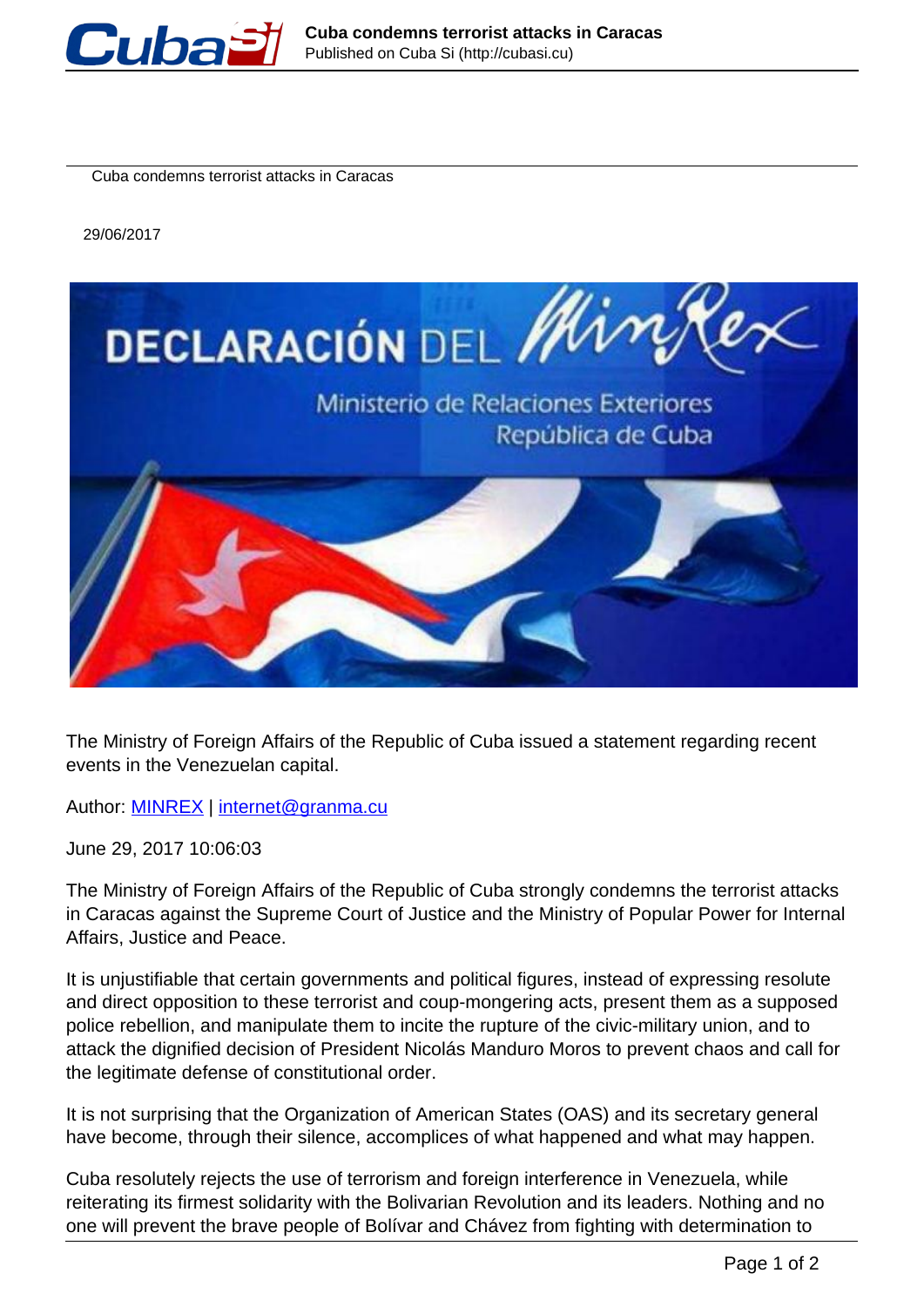

Cuba condemns terrorist attacks in Caracas

29/06/2017



The Ministry of Foreign Affairs of the Republic of Cuba issued a statement regarding recent events in the Venezuelan capital.

Author: **[MINREX](http://en.granma.cu/archivo?a=190)** | internet@granma.cu

June 29, 2017 10:06:03

The Ministry of Foreign Affairs of the Republic of Cuba strongly condemns the terrorist attacks in Caracas against the Supreme Court of Justice and the Ministry of Popular Power for Internal Affairs, Justice and Peace.

It is unjustifiable that certain governments and political figures, instead of expressing resolute and direct opposition to these terrorist and coup-mongering acts, present them as a supposed police rebellion, and manipulate them to incite the rupture of the civic-military union, and to attack the dignified decision of President Nicolás Manduro Moros to prevent chaos and call for the legitimate defense of constitutional order.

It is not surprising that the Organization of American States (OAS) and its secretary general have become, through their silence, accomplices of what happened and what may happen.

Cuba resolutely rejects the use of terrorism and foreign interference in Venezuela, while reiterating its firmest solidarity with the Bolivarian Revolution and its leaders. Nothing and no one will prevent the brave people of Bolívar and Chávez from fighting with determination to